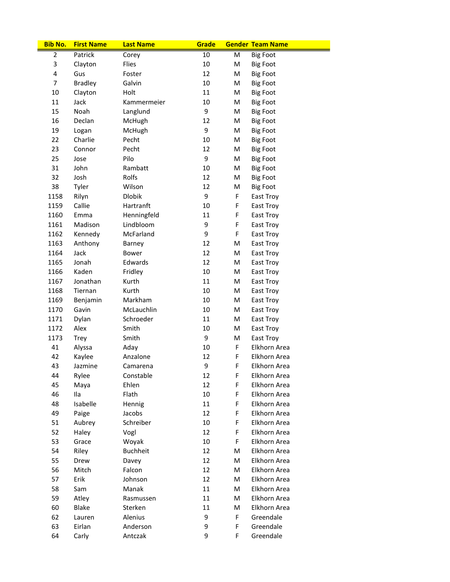| <b>Bib No.</b> | <b>First Name</b> | <b>Last Name</b> | Grade |    | <b>Gender Team Name</b> |
|----------------|-------------------|------------------|-------|----|-------------------------|
| $\overline{2}$ | Patrick           | Corey            | 10    | M  | <b>Big Foot</b>         |
| 3              | Clayton           | Flies            | 10    | M  | <b>Big Foot</b>         |
| 4              | Gus               | Foster           | 12    | M  | <b>Big Foot</b>         |
| $\overline{7}$ | <b>Bradley</b>    | Galvin           | 10    | M  | <b>Big Foot</b>         |
| 10             | Clayton           | Holt             | 11    | M  | <b>Big Foot</b>         |
| 11             | Jack              | Kammermeier      | 10    | M  | <b>Big Foot</b>         |
| 15             | Noah              | Langlund         | 9     | M  | <b>Big Foot</b>         |
| 16             | Declan            | McHugh           | 12    | M  | <b>Big Foot</b>         |
| 19             | Logan             | McHugh           | 9     | M  | <b>Big Foot</b>         |
| 22             | Charlie           | Pecht            | 10    | M  | <b>Big Foot</b>         |
| 23             | Connor            | Pecht            | 12    | M  | <b>Big Foot</b>         |
| 25             | Jose              | Pilo             | 9     | M  | <b>Big Foot</b>         |
| 31             | John              | Rambatt          | 10    | M  | <b>Big Foot</b>         |
| 32             | Josh              | Rolfs            | 12    | M  | <b>Big Foot</b>         |
| 38             | Tyler             | Wilson           | 12    | M  | <b>Big Foot</b>         |
| 1158           | Rilyn             | <b>Dlobik</b>    | 9     | F  | East Troy               |
| 1159           | Callie            | Hartranft        | 10    | F  | East Troy               |
| 1160           | Emma              | Henningfeld      | 11    | F  | East Troy               |
| 1161           | Madison           | Lindbloom        | 9     | F  | East Troy               |
| 1162           | Kennedy           | McFarland        | 9     | F  | East Troy               |
| 1163           | Anthony           | Barney           | 12    | M  | East Troy               |
| 1164           | Jack              | <b>Bower</b>     | 12    | M  | East Troy               |
| 1165           | Jonah             | Edwards          | 12    | M  | East Troy               |
| 1166           | Kaden             | Fridley          | 10    | M  | East Troy               |
| 1167           | Jonathan          | Kurth            | 11    | M  | East Troy               |
| 1168           | Tiernan           | Kurth            | 10    | M  | East Troy               |
| 1169           | Benjamin          | Markham          | 10    | M  | East Troy               |
| 1170           | Gavin             | McLauchlin       | 10    | M  | East Troy               |
| 1171           | Dylan             | Schroeder        | 11    | M  | East Troy               |
| 1172           | Alex              | Smith            | 10    | M  | East Troy               |
| 1173           | <b>Trey</b>       | Smith            | 9     | M  | East Troy               |
| 41             | Alyssa            | Aday             | 10    | F  | Elkhorn Area            |
| 42             | Kaylee            | Anzalone         | 12    | F  | Elkhorn Area            |
| 43             | Jazmine           | Camarena         | 9     | F  | Elkhorn Area            |
| 44             | Rylee             | Constable        | 12    | F  | Elkhorn Area            |
| 45             | Maya              | Ehlen            | 12    | F  | Elkhorn Area            |
| 46             | Ila               | Flath            | 10    | F  | Elkhorn Area            |
| 48             | Isabelle          | Hennig           | 11    | F  | Elkhorn Area            |
| 49             | Paige             | Jacobs           | 12    | F  | Elkhorn Area            |
| 51             | Aubrey            | Schreiber        | 10    | F  | Elkhorn Area            |
| 52             | Haley             | Vogl             | 12    | F  | Elkhorn Area            |
| 53             | Grace             | Woyak            | 10    | F  | Elkhorn Area            |
| 54             | Riley             | <b>Buchheit</b>  | 12    | М  | Elkhorn Area            |
| 55             | Drew              | Davey            | 12    | М  | Elkhorn Area            |
| 56             | Mitch             | Falcon           | 12    | М  | Elkhorn Area            |
| 57             | Erik              | Johnson          | 12    | М  | Elkhorn Area            |
| 58             | Sam               | Manak            | 11    | М  | Elkhorn Area            |
| 59             | Atley             | Rasmussen        | 11    | M  | Elkhorn Area            |
| 60             | Blake             | Sterken          | 11    | М  | Elkhorn Area            |
| 62             | Lauren            | Alenius          | 9     | F. | Greendale               |
| 63             | Eirlan            | Anderson         | 9     | F  | Greendale               |
| 64             | Carly             | Antczak          | 9     | F. | Greendale               |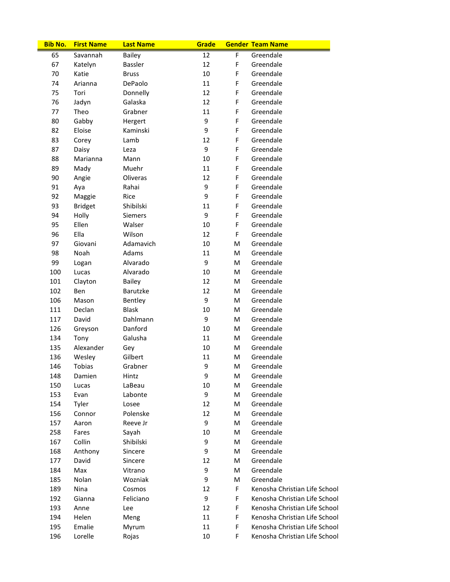| <b>Bib No.</b> | <b>First Name</b> | <b>Last Name</b> | Grade  |   | <b>Gender Team Name</b>       |
|----------------|-------------------|------------------|--------|---|-------------------------------|
| 65             | Savannah          | <b>Bailey</b>    | 12     | F | Greendale                     |
| 67             | Katelyn           | Bassler          | 12     | F | Greendale                     |
| 70             | Katie             | <b>Bruss</b>     | 10     | F | Greendale                     |
| 74             | Arianna           | DePaolo          | 11     | F | Greendale                     |
| 75             | Tori              | Donnelly         | 12     | F | Greendale                     |
| 76             | Jadyn             | Galaska          | 12     | F | Greendale                     |
| 77             | Theo              | Grabner          | 11     | F | Greendale                     |
| 80             | Gabby             | Hergert          | 9      | F | Greendale                     |
| 82             | Eloise            | Kaminski         | 9      | F | Greendale                     |
| 83             | Corey             | Lamb             | 12     | F | Greendale                     |
| 87             | Daisy             | Leza             | 9      | F | Greendale                     |
| 88             | Marianna          | Mann             | 10     | F | Greendale                     |
| 89             | Mady              | Muehr            | 11     | F | Greendale                     |
| 90             | Angie             | Oliveras         | 12     | F | Greendale                     |
| 91             | Aya               | Rahai            | 9      | F | Greendale                     |
| 92             | Maggie            | Rice             | 9      | F | Greendale                     |
| 93             | <b>Bridget</b>    | Shibilski        | 11     | F | Greendale                     |
| 94             | Holly             | <b>Siemers</b>   | 9      | F | Greendale                     |
| 95             | Ellen             | Walser           | 10     | F | Greendale                     |
| 96             | Ella              | Wilson           | 12     | F | Greendale                     |
| 97             | Giovani           | Adamavich        | 10     | M | Greendale                     |
| 98             | Noah              | Adams            | 11     | M | Greendale                     |
|                |                   | Alvarado         | 9      |   | Greendale                     |
| 99             | Logan             |                  |        | M |                               |
| 100            | Lucas             | Alvarado         | 10     | M | Greendale                     |
| 101            | Clayton           | <b>Bailey</b>    | 12     | M | Greendale                     |
| 102            | Ben               | Barutzke         | 12     | M | Greendale                     |
| 106            | Mason             | Bentley          | 9      | M | Greendale                     |
| 111            | Declan            | <b>Blask</b>     | 10     | M | Greendale                     |
| 117            | David             | Dahlmann         | 9      | M | Greendale                     |
| 126            | Greyson           | Danford          | 10     | M | Greendale                     |
| 134            | Tony              | Galusha          | 11     | M | Greendale                     |
| 135            | Alexander         | Gey              | 10     | M | Greendale                     |
| 136            | Wesley            | Gilbert          | 11     | M | Greendale                     |
| 146            | Tobias            | Grabner          | 9      | M | Greendale                     |
| 148            | Damien            | Hintz            | 9      | M | Greendale                     |
| 150            | Lucas             | LaBeau           | 10     | M | Greendale                     |
| 153            | Evan              | Labonte          | 9      | M | Greendale                     |
| 154            | Tyler             | Losee            | 12     | M | Greendale                     |
| 156            | Connor            | Polenske         | 12     | M | Greendale                     |
| 157            | Aaron             | Reeve Jr         | 9      | M | Greendale                     |
| 258            | Fares             | Sayah            | $10\,$ | M | Greendale                     |
| 167            | Collin            | Shibilski        | 9      | M | Greendale                     |
| 168            | Anthony           | Sincere          | 9      | M | Greendale                     |
| 177            | David             | Sincere          | 12     | M | Greendale                     |
| 184            | Max               | Vitrano          | 9      | M | Greendale                     |
| 185            | Nolan             | Wozniak          | 9      | M | Greendale                     |
| 189            | Nina              | Cosmos           | 12     | F | Kenosha Christian Life School |
| 192            | Gianna            | Feliciano        | 9      | F | Kenosha Christian Life School |
| 193            | Anne              | Lee              | 12     | F | Kenosha Christian Life School |
| 194            | Helen             | Meng             | 11     | F | Kenosha Christian Life School |
| 195            | Emalie            | Myrum            | 11     | F | Kenosha Christian Life School |
| 196            | Lorelle           | Rojas            | 10     | F | Kenosha Christian Life School |
|                |                   |                  |        |   |                               |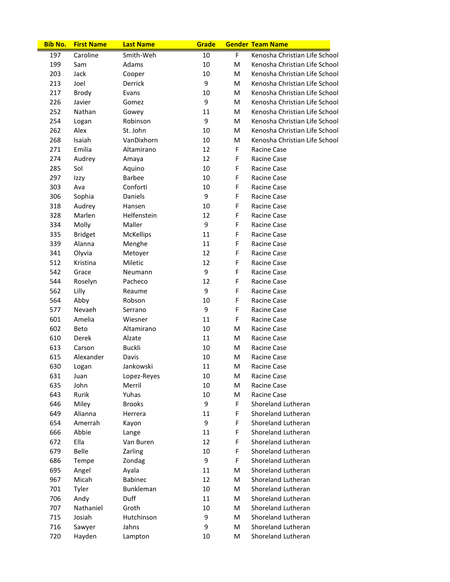| <b>Bib No.</b> | <b>First Name</b> | <b>Last Name</b>  | Grade    |        | <b>Gender Team Name</b>       |
|----------------|-------------------|-------------------|----------|--------|-------------------------------|
| 197            | Caroline          | Smith-Weh         | 10       | F      | Kenosha Christian Life School |
| 199            | Sam               | Adams             | 10       | M      | Kenosha Christian Life School |
| 203            | Jack              | Cooper            | 10       | M      | Kenosha Christian Life School |
| 213            | Joel              | Derrick           | 9        | M      | Kenosha Christian Life School |
| 217            | <b>Brody</b>      | Evans             | 10       | M      | Kenosha Christian Life School |
| 226            | Javier            | Gomez             | 9        | M      | Kenosha Christian Life School |
| 252            | Nathan            | Gowey             | 11       | M      | Kenosha Christian Life School |
| 254            | Logan             | Robinson          | 9        | M      | Kenosha Christian Life School |
| 262            | Alex              | St. John          | 10       | M      | Kenosha Christian Life School |
| 268            | Isaiah            | VanDixhorn        | 10       | M      | Kenosha Christian Life School |
| 271            | Emilia            | Altamirano        | 12       | F      | Racine Case                   |
| 274            | Audrey            | Amaya             | 12       | F      | Racine Case                   |
| 285            | Sol               | Aquino            | 10       | F      | Racine Case                   |
| 297            | Izzy              | <b>Barbee</b>     | 10       | F      | Racine Case                   |
| 303            | Ava               | Conforti          | 10       | F      | Racine Case                   |
| 306            | Sophia            | Daniels           | 9        | F      | Racine Case                   |
| 318            | Audrey            | Hansen            | 10       | F      | Racine Case                   |
| 328            | Marlen            | Helfenstein       | 12       | F      | Racine Case                   |
| 334            | Molly             | Maller            | 9        | F      | Racine Case                   |
| 335            | <b>Bridget</b>    | <b>McKellips</b>  | 11       | F      | Racine Case                   |
| 339            | Alanna            | Menghe            | 11       | F      | Racine Case                   |
| 341            | Olyvia            | Metoyer           | 12       | F      | Racine Case                   |
| 512            | Kristina          | Miletic           | 12       | F      | Racine Case                   |
| 542            | Grace             | Neumann           | 9        | F      | Racine Case                   |
| 544            | Roselyn           | Pacheco           | 12       | F      | Racine Case                   |
| 562            | Lilly             | Reaume            | 9        | F      | Racine Case                   |
| 564            | Abby              | Robson            | 10       | F      | Racine Case                   |
| 577            | Nevaeh            | Serrano           | 9        | F      | Racine Case                   |
| 601            | Amelia            | Wiesner           | 11       | F      | Racine Case                   |
| 602            | Beto              | Altamirano        | 10       | M      | Racine Case                   |
| 610            | Derek             | Alzate            | 11       | M      | Racine Case                   |
| 613            | Carson            | <b>Buckli</b>     | 10       | M      | Racine Case                   |
| 615            | Alexander         | Davis             | 10       | M      | Racine Case                   |
| 630            | Logan             | Jankowski         | 11       | M      | Racine Case                   |
| 631            | Juan              | Lopez-Reyes       | 10       | M      | Racine Case                   |
| 635            | John              | Merril            | 10       | M      | Racine Case                   |
| 643            | Rurik             | Yuhas             | 10       | M      | Racine Case                   |
| 646            | Miley             | <b>Brooks</b>     | 9        | F      | Shoreland Lutheran            |
| 649            | Alianna           | Herrera           | 11       | F      | Shoreland Lutheran            |
| 654            | Amerrah           | Kayon             | 9        | F      | Shoreland Lutheran            |
| 666            | Abbie             | Lange             | 11       | F      | Shoreland Lutheran            |
| 672            | Ella              | Van Buren         | 12       | F      | Shoreland Lutheran            |
| 679            | <b>Belle</b>      | Zarling           | 10       | F      | Shoreland Lutheran            |
| 686            | Tempe             | Zondag            | 9        | F      | Shoreland Lutheran            |
| 695            | Angel             | Ayala             | 11       | M      | Shoreland Lutheran            |
| 967            | Micah             | <b>Babinec</b>    | 12       | M      | Shoreland Lutheran            |
|                |                   |                   |          |        | Shoreland Lutheran            |
| 701<br>706     | Tyler<br>Andy     | Bunkleman<br>Duff | 10<br>11 | M<br>M | Shoreland Lutheran            |
| 707            | Nathaniel         | Groth             | 10       | M      | Shoreland Lutheran            |
| 715            | Josiah            | Hutchinson        | 9        | М      | Shoreland Lutheran            |
|                |                   |                   |          |        | Shoreland Lutheran            |
| 716            | Sawyer            | Jahns             | 9        | M      |                               |
| 720            | Hayden            | Lampton           | 10       | M      | Shoreland Lutheran            |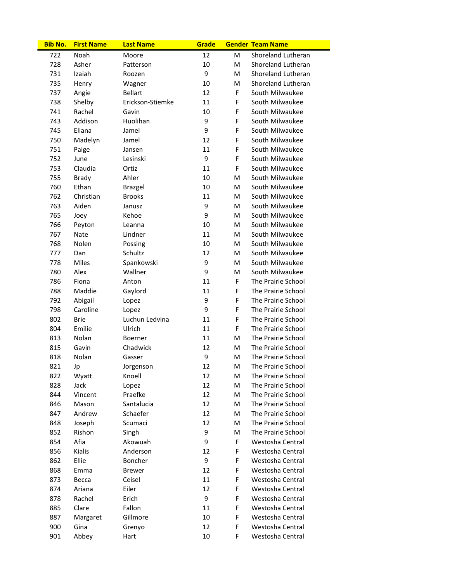| <b>Bib No.</b> | <b>First Name</b> | <b>Last Name</b> | Grade |   | <b>Gender Team Name</b>   |
|----------------|-------------------|------------------|-------|---|---------------------------|
| 722            | Noah              | Moore            | 12    | м | <b>Shoreland Lutheran</b> |
| 728            | Asher             | Patterson        | 10    | M | <b>Shoreland Lutheran</b> |
| 731            | Izaiah            | Roozen           | 9     | M | Shoreland Lutheran        |
| 735            | Henry             | Wagner           | 10    | M | Shoreland Lutheran        |
| 737            | Angie             | <b>Bellart</b>   | 12    | F | South Milwaukee           |
| 738            | Shelby            | Erickson-Stiemke | 11    | F | South Milwaukee           |
| 741            | Rachel            | Gavin            | 10    | F | South Milwaukee           |
| 743            | Addison           | Huolihan         | 9     | F | South Milwaukee           |
| 745            | Eliana            | Jamel            | 9     | F | South Milwaukee           |
| 750            | Madelyn           | Jamel            | 12    | F | South Milwaukee           |
| 751            | Paige             | Jansen           | 11    | F | South Milwaukee           |
| 752            | June              | Lesinski         | 9     | F | South Milwaukee           |
| 753            | Claudia           | Ortiz            | 11    | F | South Milwaukee           |
| 755            | <b>Brady</b>      | Ahler            | 10    | м | South Milwaukee           |
| 760            | Ethan             | Brazgel          | 10    | M | South Milwaukee           |
| 762            | Christian         | <b>Brooks</b>    | 11    | м | South Milwaukee           |
| 763            | Aiden             | Janusz           | 9     | м | South Milwaukee           |
| 765            | Joev              | Kehoe            | 9     | M | South Milwaukee           |
| 766            | Peyton            | Leanna           | 10    | M | South Milwaukee           |
| 767            | Nate              | Lindner          | 11    | M | South Milwaukee           |
| 768            | Nolen             | Possing          | 10    | м | South Milwaukee           |
| 777            | Dan               | Schultz          | 12    | M | South Milwaukee           |
| 778            | Miles             | Spankowski       | 9     | M | South Milwaukee           |
| 780            | Alex              | Wallner          | 9     | M | South Milwaukee           |
| 786            | Fiona             | Anton            | 11    | F | The Prairie School        |
| 788            | Maddie            | Gaylord          | 11    | F | The Prairie School        |
| 792            | Abigail           | Lopez            | 9     | F | The Prairie School        |
| 798            | Caroline          | Lopez            | 9     | F | The Prairie School        |
| 802            | Brie              | Luchun Ledvina   | 11    | F | The Prairie School        |
| 804            | Emilie            | Ulrich           | 11    | F | The Prairie School        |
| 813            | Nolan             | <b>Boerner</b>   | 11    | М | The Prairie School        |
| 815            | Gavin             | Chadwick         | 12    | М | The Prairie School        |
| 818            | Nolan             | Gasser           | 9     | M | The Prairie School        |
| 821            | Jp                | Jorgenson        | 12    | M | The Prairie School        |
| 822            | Wyatt             | Knoell           | 12    | M | The Prairie School        |
| 828            | Jack              | Lopez            | 12    | M | The Prairie School        |
| 844            | Vincent           | Praefke          | 12    | M | The Prairie School        |
| 846            | Mason             | Santalucia       | 12    | M | The Prairie School        |
| 847            | Andrew            | Schaefer         | 12    | M | The Prairie School        |
| 848            | Joseph            | Scumaci          | 12    | M | The Prairie School        |
| 852            | Rishon            | Singh            | 9     | M | The Prairie School        |
| 854            | Afia              | Akowuah          | 9     | F | Westosha Central          |
| 856            | Kialis            | Anderson         | 12    | F | Westosha Central          |
| 862            | Ellie             | Boncher          | 9     | F | Westosha Central          |
| 868            | Emma              | <b>Brewer</b>    | 12    | F | Westosha Central          |
| 873            | Becca             | Ceisel           | 11    | F | Westosha Central          |
| 874            | Ariana            | Eiler            | 12    | F | Westosha Central          |
| 878            | Rachel            | Erich            | 9     | F | Westosha Central          |
| 885            | Clare             | Fallon           | 11    | F | Westosha Central          |
| 887            | Margaret          | Gillmore         | 10    | F | Westosha Central          |
| 900            | Gina              | Grenyo           | 12    | F | Westosha Central          |
| 901            | Abbey             | Hart             | 10    | F | Westosha Central          |
|                |                   |                  |       |   |                           |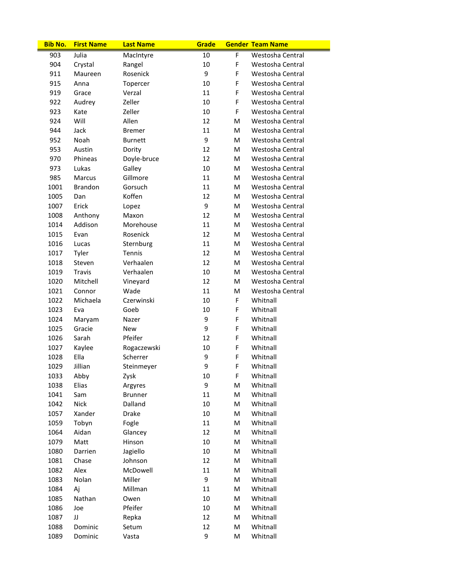| 903<br>Julia<br>10<br>F<br>Westosha Central<br>MacIntyre<br>10<br>F<br>904<br>Westosha Central<br>Crystal<br>Rangel<br>9<br>911<br>F<br>Westosha Central<br>Maureen<br>Rosenick<br>915<br>10<br>F<br>Westosha Central<br>Anna<br>Topercer<br>11<br>F<br>919<br>Verzal<br>Westosha Central<br>Grace<br>10<br>F<br>922<br>Zeller<br>Westosha Central<br>Audrey<br>10<br>923<br>Zeller<br>F<br>Westosha Central<br>Kate<br>Will<br>Allen<br>12<br>924<br>M<br>Westosha Central<br>944<br>Jack<br>11<br>Westosha Central<br><b>Bremer</b><br>м<br>9<br>952<br>Noah<br><b>Burnett</b><br>M<br>Westosha Central<br>953<br>Austin<br>Dority<br>12<br>Westosha Central<br>м<br>970<br>Doyle-bruce<br>12<br>Westosha Central<br>Phineas<br>м<br>973<br>Lukas<br>Galley<br>10<br>Westosha Central<br>м<br>Gillmore<br>11<br>985<br>Marcus<br>Westosha Central<br>м<br>1001<br>Brandon<br>Gorsuch<br>11<br>Westosha Central<br>м |
|-----------------------------------------------------------------------------------------------------------------------------------------------------------------------------------------------------------------------------------------------------------------------------------------------------------------------------------------------------------------------------------------------------------------------------------------------------------------------------------------------------------------------------------------------------------------------------------------------------------------------------------------------------------------------------------------------------------------------------------------------------------------------------------------------------------------------------------------------------------------------------------------------------------------------|
|                                                                                                                                                                                                                                                                                                                                                                                                                                                                                                                                                                                                                                                                                                                                                                                                                                                                                                                       |
|                                                                                                                                                                                                                                                                                                                                                                                                                                                                                                                                                                                                                                                                                                                                                                                                                                                                                                                       |
|                                                                                                                                                                                                                                                                                                                                                                                                                                                                                                                                                                                                                                                                                                                                                                                                                                                                                                                       |
|                                                                                                                                                                                                                                                                                                                                                                                                                                                                                                                                                                                                                                                                                                                                                                                                                                                                                                                       |
|                                                                                                                                                                                                                                                                                                                                                                                                                                                                                                                                                                                                                                                                                                                                                                                                                                                                                                                       |
|                                                                                                                                                                                                                                                                                                                                                                                                                                                                                                                                                                                                                                                                                                                                                                                                                                                                                                                       |
|                                                                                                                                                                                                                                                                                                                                                                                                                                                                                                                                                                                                                                                                                                                                                                                                                                                                                                                       |
|                                                                                                                                                                                                                                                                                                                                                                                                                                                                                                                                                                                                                                                                                                                                                                                                                                                                                                                       |
|                                                                                                                                                                                                                                                                                                                                                                                                                                                                                                                                                                                                                                                                                                                                                                                                                                                                                                                       |
|                                                                                                                                                                                                                                                                                                                                                                                                                                                                                                                                                                                                                                                                                                                                                                                                                                                                                                                       |
|                                                                                                                                                                                                                                                                                                                                                                                                                                                                                                                                                                                                                                                                                                                                                                                                                                                                                                                       |
|                                                                                                                                                                                                                                                                                                                                                                                                                                                                                                                                                                                                                                                                                                                                                                                                                                                                                                                       |
|                                                                                                                                                                                                                                                                                                                                                                                                                                                                                                                                                                                                                                                                                                                                                                                                                                                                                                                       |
|                                                                                                                                                                                                                                                                                                                                                                                                                                                                                                                                                                                                                                                                                                                                                                                                                                                                                                                       |
|                                                                                                                                                                                                                                                                                                                                                                                                                                                                                                                                                                                                                                                                                                                                                                                                                                                                                                                       |
| Koffen<br>12<br>1005<br>Westosha Central<br>Dan<br>м                                                                                                                                                                                                                                                                                                                                                                                                                                                                                                                                                                                                                                                                                                                                                                                                                                                                  |
| 9<br>1007<br>Erick<br>Westosha Central<br>м<br>Lopez                                                                                                                                                                                                                                                                                                                                                                                                                                                                                                                                                                                                                                                                                                                                                                                                                                                                  |
| 1008<br>Anthony<br>Maxon<br>12<br>Westosha Central<br>м                                                                                                                                                                                                                                                                                                                                                                                                                                                                                                                                                                                                                                                                                                                                                                                                                                                               |
| Addison<br>Morehouse<br>11<br>1014<br>M<br>Westosha Central                                                                                                                                                                                                                                                                                                                                                                                                                                                                                                                                                                                                                                                                                                                                                                                                                                                           |
| 12<br>1015<br>Rosenick<br>Westosha Central<br>Evan<br>м                                                                                                                                                                                                                                                                                                                                                                                                                                                                                                                                                                                                                                                                                                                                                                                                                                                               |
| 11<br>1016<br>Sternburg<br>м<br>Westosha Central<br>Lucas                                                                                                                                                                                                                                                                                                                                                                                                                                                                                                                                                                                                                                                                                                                                                                                                                                                             |
| 1017<br>Tyler<br>Tennis<br>12<br>Westosha Central<br>м                                                                                                                                                                                                                                                                                                                                                                                                                                                                                                                                                                                                                                                                                                                                                                                                                                                                |
| Verhaalen<br>1018<br>12<br>Westosha Central<br>Steven<br>м                                                                                                                                                                                                                                                                                                                                                                                                                                                                                                                                                                                                                                                                                                                                                                                                                                                            |
| Verhaalen<br>1019<br>Travis<br>10<br>Westosha Central<br>м                                                                                                                                                                                                                                                                                                                                                                                                                                                                                                                                                                                                                                                                                                                                                                                                                                                            |
| 1020<br>Mitchell<br>12<br>Westosha Central<br>Vineyard<br>м                                                                                                                                                                                                                                                                                                                                                                                                                                                                                                                                                                                                                                                                                                                                                                                                                                                           |
| 11<br>1021<br>Connor<br>Wade<br>Westosha Central<br>м                                                                                                                                                                                                                                                                                                                                                                                                                                                                                                                                                                                                                                                                                                                                                                                                                                                                 |
| F<br>1022<br>Michaela<br>Czerwinski<br>10<br>Whitnall                                                                                                                                                                                                                                                                                                                                                                                                                                                                                                                                                                                                                                                                                                                                                                                                                                                                 |
| 1023<br>10<br>F<br>Whitnall<br>Eva<br>Goeb                                                                                                                                                                                                                                                                                                                                                                                                                                                                                                                                                                                                                                                                                                                                                                                                                                                                            |
| 9<br>1024<br>F<br>Whitnall<br>Maryam<br>Nazer                                                                                                                                                                                                                                                                                                                                                                                                                                                                                                                                                                                                                                                                                                                                                                                                                                                                         |
| 9<br>Whitnall<br>1025<br>Gracie<br>F<br><b>New</b>                                                                                                                                                                                                                                                                                                                                                                                                                                                                                                                                                                                                                                                                                                                                                                                                                                                                    |
| Sarah<br>Pfeifer<br>1026<br>12<br>F<br>Whitnall                                                                                                                                                                                                                                                                                                                                                                                                                                                                                                                                                                                                                                                                                                                                                                                                                                                                       |
| 1027<br>10<br>Whitnall<br>Kaylee<br>Rogaczewski<br>F                                                                                                                                                                                                                                                                                                                                                                                                                                                                                                                                                                                                                                                                                                                                                                                                                                                                  |
| Ella<br>9<br>1028<br>Scherrer<br>F<br>Whitnall                                                                                                                                                                                                                                                                                                                                                                                                                                                                                                                                                                                                                                                                                                                                                                                                                                                                        |
| 9<br>1029<br>Jillian<br>F.<br>Steinmeyer<br>Whitnall                                                                                                                                                                                                                                                                                                                                                                                                                                                                                                                                                                                                                                                                                                                                                                                                                                                                  |
| F<br>1033<br>Abby<br>Zysk<br>10<br>Whitnall                                                                                                                                                                                                                                                                                                                                                                                                                                                                                                                                                                                                                                                                                                                                                                                                                                                                           |
| 9<br>1038<br>Elias<br>Whitnall<br>Argyres<br>M                                                                                                                                                                                                                                                                                                                                                                                                                                                                                                                                                                                                                                                                                                                                                                                                                                                                        |
| 11<br>1041<br>Whitnall<br>Sam<br><b>Brunner</b><br>M                                                                                                                                                                                                                                                                                                                                                                                                                                                                                                                                                                                                                                                                                                                                                                                                                                                                  |
| 1042<br><b>Nick</b><br>Dalland<br>10<br>Whitnall<br>M                                                                                                                                                                                                                                                                                                                                                                                                                                                                                                                                                                                                                                                                                                                                                                                                                                                                 |
| 10<br>Whitnall<br>1057<br>Xander<br>Drake<br>M                                                                                                                                                                                                                                                                                                                                                                                                                                                                                                                                                                                                                                                                                                                                                                                                                                                                        |
| 1059<br>Tobyn<br>Fogle<br>11<br>Whitnall<br>M                                                                                                                                                                                                                                                                                                                                                                                                                                                                                                                                                                                                                                                                                                                                                                                                                                                                         |
| 1064<br>Aidan<br>Glancey<br>12<br>Whitnall<br>M                                                                                                                                                                                                                                                                                                                                                                                                                                                                                                                                                                                                                                                                                                                                                                                                                                                                       |
| 1079<br>10<br>Whitnall<br>Matt<br>Hinson<br>M                                                                                                                                                                                                                                                                                                                                                                                                                                                                                                                                                                                                                                                                                                                                                                                                                                                                         |
| Whitnall<br>1080<br>Darrien<br>Jagiello<br>10<br>M                                                                                                                                                                                                                                                                                                                                                                                                                                                                                                                                                                                                                                                                                                                                                                                                                                                                    |
| 1081<br>Chase<br>Johnson<br>12<br>Whitnall<br>M                                                                                                                                                                                                                                                                                                                                                                                                                                                                                                                                                                                                                                                                                                                                                                                                                                                                       |
| 1082<br>Alex<br>McDowell<br>11<br>Whitnall<br>M                                                                                                                                                                                                                                                                                                                                                                                                                                                                                                                                                                                                                                                                                                                                                                                                                                                                       |
| 9<br>1083<br>Nolan<br>Miller<br>Whitnall<br>M                                                                                                                                                                                                                                                                                                                                                                                                                                                                                                                                                                                                                                                                                                                                                                                                                                                                         |
| 1084<br>Aj<br>Millman<br>11<br>Whitnall<br>M                                                                                                                                                                                                                                                                                                                                                                                                                                                                                                                                                                                                                                                                                                                                                                                                                                                                          |
| 1085<br>Nathan<br>10<br>Whitnall<br>Owen<br>M                                                                                                                                                                                                                                                                                                                                                                                                                                                                                                                                                                                                                                                                                                                                                                                                                                                                         |
| Pfeifer<br>$10\,$<br>Whitnall<br>1086<br>M<br>Joe                                                                                                                                                                                                                                                                                                                                                                                                                                                                                                                                                                                                                                                                                                                                                                                                                                                                     |
| JJ<br>12<br>Whitnall<br>1087<br>Repka<br>M                                                                                                                                                                                                                                                                                                                                                                                                                                                                                                                                                                                                                                                                                                                                                                                                                                                                            |
| Whitnall<br>1088<br>Dominic<br>12<br>M<br>Setum                                                                                                                                                                                                                                                                                                                                                                                                                                                                                                                                                                                                                                                                                                                                                                                                                                                                       |
| 9<br>1089<br>Dominic<br>Whitnall<br>Vasta<br>M                                                                                                                                                                                                                                                                                                                                                                                                                                                                                                                                                                                                                                                                                                                                                                                                                                                                        |